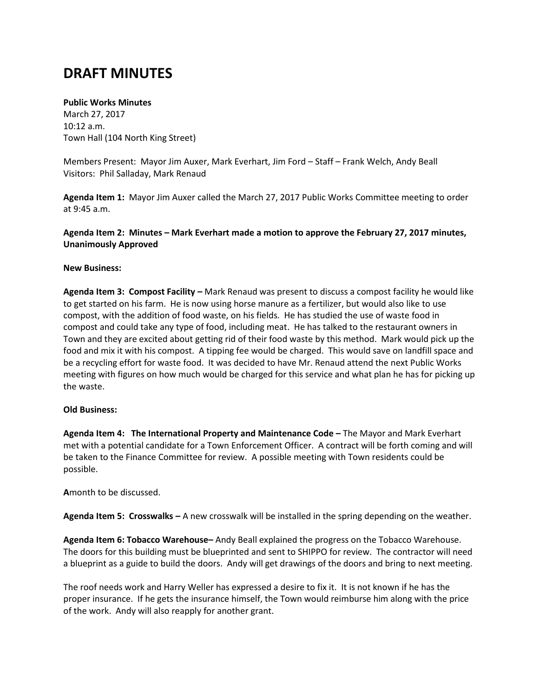# **DRAFT MINUTES**

## **Public Works Minutes**

March 27, 2017 10:12 a.m. Town Hall (104 North King Street)

Members Present: Mayor Jim Auxer, Mark Everhart, Jim Ford – Staff – Frank Welch, Andy Beall Visitors: Phil Salladay, Mark Renaud

**Agenda Item 1:** Mayor Jim Auxer called the March 27, 2017 Public Works Committee meeting to order at 9:45 a.m.

**Agenda Item 2: Minutes – Mark Everhart made a motion to approve the February 27, 2017 minutes, Unanimously Approved**

### **New Business:**

**Agenda Item 3: Compost Facility –** Mark Renaud was present to discuss a compost facility he would like to get started on his farm. He is now using horse manure as a fertilizer, but would also like to use compost, with the addition of food waste, on his fields. He has studied the use of waste food in compost and could take any type of food, including meat. He has talked to the restaurant owners in Town and they are excited about getting rid of their food waste by this method. Mark would pick up the food and mix it with his compost. A tipping fee would be charged. This would save on landfill space and be a recycling effort for waste food. It was decided to have Mr. Renaud attend the next Public Works meeting with figures on how much would be charged for this service and what plan he has for picking up the waste.

#### **Old Business:**

**Agenda Item 4: The International Property and Maintenance Code –** The Mayor and Mark Everhart met with a potential candidate for a Town Enforcement Officer. A contract will be forth coming and will be taken to the Finance Committee for review. A possible meeting with Town residents could be possible.

**A**month to be discussed.

**Agenda Item 5: Crosswalks –** A new crosswalk will be installed in the spring depending on the weather.

**Agenda Item 6: Tobacco Warehouse–** Andy Beall explained the progress on the Tobacco Warehouse. The doors for this building must be blueprinted and sent to SHIPPO for review. The contractor will need a blueprint as a guide to build the doors. Andy will get drawings of the doors and bring to next meeting.

The roof needs work and Harry Weller has expressed a desire to fix it. It is not known if he has the proper insurance. If he gets the insurance himself, the Town would reimburse him along with the price of the work. Andy will also reapply for another grant.